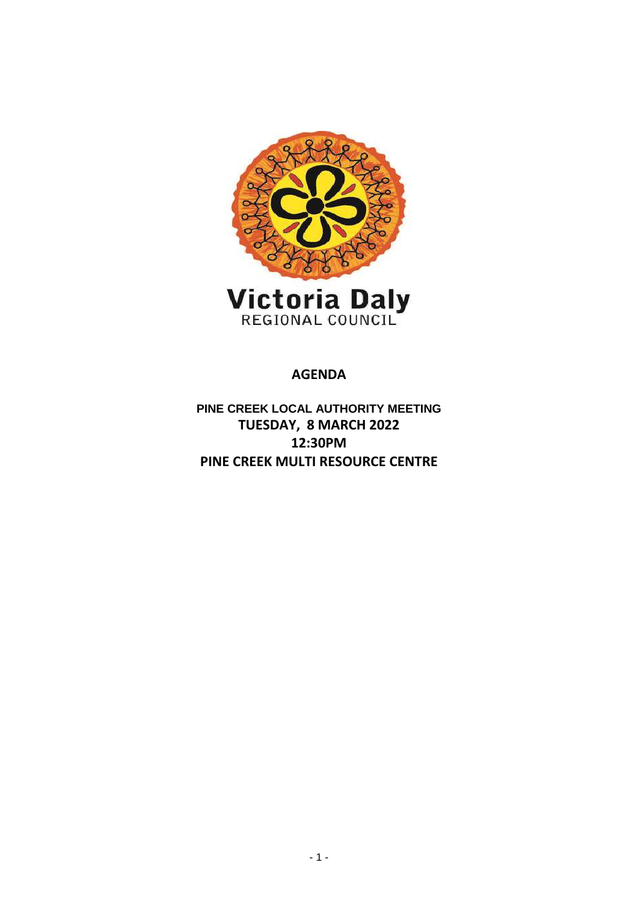

**AGENDA**

**PINE CREEK LOCAL AUTHORITY MEETING TUESDAY, 8 MARCH 2022 12:30PM PINE CREEK MULTI RESOURCE CENTRE**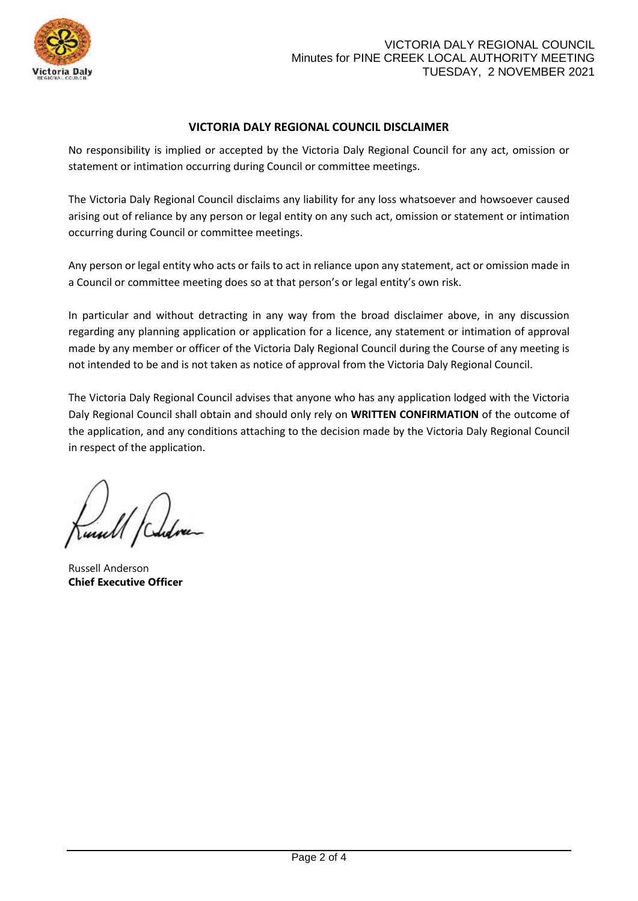

# **VICTORIA DALY REGIONAL COUNCIL DISCLAIMER**

No responsibility is implied or accepted by the Victoria Daly Regional Council for any act, omission or statement or intimation occurring during Council or committee meetings.

The Victoria Daly Regional Council disclaims any liability for any loss whatsoever and howsoever caused arising out of reliance by any person or legal entity on any such act, omission or statement or intimation occurring during Council or committee meetings.

Any person or legal entity who acts or fails to act in reliance upon any statement, act or omission made in a Council or committee meeting does so at that person's or legal entity's own risk.

In particular and without detracting in any way from the broad disclaimer above, in any discussion regarding any planning application or application for a licence, any statement or intimation of approval made by any member or officer of the Victoria Daly Regional Council during the Course of any meeting is not intended to be and is not taken as notice of approval from the Victoria Daly Regional Council.

The Victoria Daly Regional Council advises that anyone who has any application lodged with the Victoria Daly Regional Council shall obtain and should only rely on **WRITTEN CONFIRMATION** of the outcome of the application, and any conditions attaching to the decision made by the Victoria Daly Regional Council in respect of the application.

Russell Anderson **Chief Executive Officer**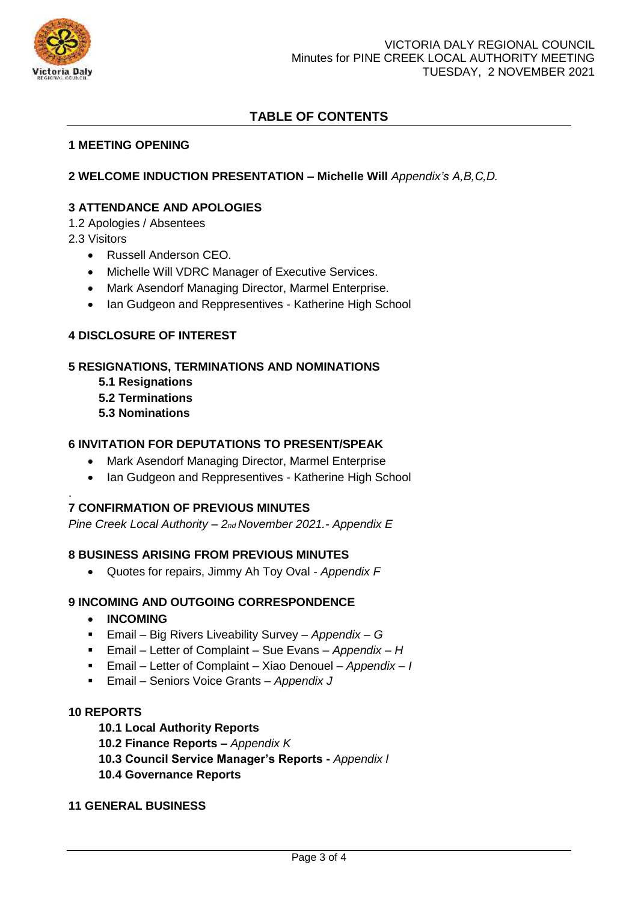

# **TABLE OF CONTENTS**

#### **1 MEETING OPENING**

## **2 WELCOME INDUCTION PRESENTATION – Michelle Will** *Appendix's A,B,C,D.*

## **3 ATTENDANCE AND APOLOGIES**

1.2 Apologies / Absentees

2.3 Visitors

.

- Russell Anderson CEO.
- Michelle Will VDRC Manager of Executive Services.
- Mark Asendorf Managing Director, Marmel Enterprise.
- Ian Gudgeon and Reppresentives Katherine High School

# **4 DISCLOSURE OF INTEREST**

# **5 RESIGNATIONS, TERMINATIONS AND NOMINATIONS**

- **5.1 Resignations**
- **5.2 Terminations**
- **5.3 Nominations**

#### **6 INVITATION FOR DEPUTATIONS TO PRESENT/SPEAK**

- Mark Asendorf Managing Director, Marmel Enterprise
- Ian Gudgeon and Reppresentives Katherine High School

#### **7 CONFIRMATION OF PREVIOUS MINUTES**

*Pine Creek Local Authority – 2nd November 2021.- Appendix E*

#### **8 BUSINESS ARISING FROM PREVIOUS MINUTES**

Quotes for repairs, Jimmy Ah Toy Oval - *Appendix F*

#### **9 INCOMING AND OUTGOING CORRESPONDENCE**

- **INCOMING**
- Email Big Rivers Liveability Survey *Appendix – G*
- Email Letter of Complaint Sue Evans *Appendix – H*
- Email Letter of Complaint Xiao Denouel *Appendix – I*
- Email Seniors Voice Grants *Appendix J*

#### **10 REPORTS**

- **10.1 Local Authority Reports**
- **10.2 Finance Reports –** *Appendix K*
- **10.3 Council Service Manager's Reports -** *Appendix l*
- **10.4 Governance Reports**

#### **11 GENERAL BUSINESS**